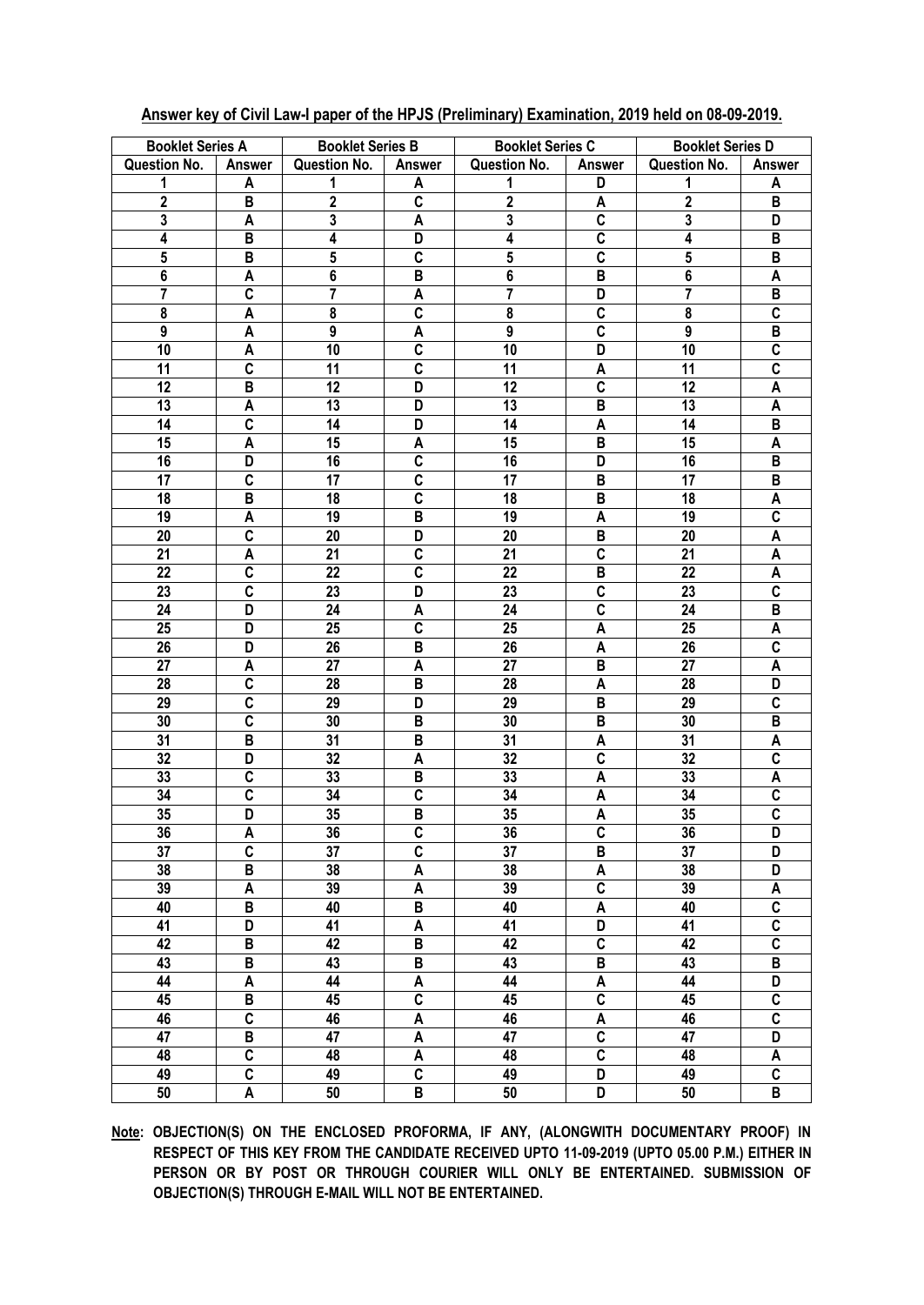| <b>Booklet Series A</b> |                         | <b>Booklet Series B</b> |                         | <b>Booklet Series C</b> |                           | <b>Booklet Series D</b> |                         |
|-------------------------|-------------------------|-------------------------|-------------------------|-------------------------|---------------------------|-------------------------|-------------------------|
| <b>Question No.</b>     | <b>Answer</b>           | Question No.            | <b>Answer</b>           | Question No.            | Answer                    | <b>Question No.</b>     | <b>Answer</b>           |
| 1                       | A                       | 1                       | A                       | 1                       | D                         | 1                       | A                       |
| $\overline{2}$          | B                       | $\overline{2}$          | $\overline{\mathsf{c}}$ | $\overline{2}$          | A                         | $\overline{\mathbf{2}}$ | B                       |
| 3                       | A                       | $\mathbf 3$             | A                       | 3                       | $\overline{\mathsf{c}}$   | 3                       | D                       |
| 4                       | B                       | 4                       | D                       | 4                       | $\overline{\mathsf{c}}$   | 4                       | B                       |
| 5                       | B                       | $5\phantom{.0}$         | $\overline{\mathbf{c}}$ | $\sqrt{5}$              | $\overline{\mathbf{c}}$   | $\overline{\mathbf{5}}$ | B                       |
| $\bf 6$                 | A                       | $\bf 6$                 | B                       | 6                       | $\, {\bf B}$              | $\overline{\mathbf{6}}$ | A                       |
| $\overline{7}$          | $\overline{\mathbf{c}}$ | 7                       | A                       | 7                       | D                         | $\overline{7}$          | B                       |
| 8                       | A                       | 8                       | $\overline{\mathsf{c}}$ | 8                       | $\overline{\mathfrak{c}}$ | 8                       | $\overline{\mathbf{c}}$ |
| $\boldsymbol{9}$        | A                       | 9                       | A                       | 9                       | $\overline{\mathbf{c}}$   | 9                       | B                       |
| 10                      | A                       | 10                      | $\overline{\mathbf{c}}$ | 10                      | D                         | 10                      | $\overline{\mathbf{c}}$ |
| 11                      | C                       | 11                      | $\overline{\mathbf{c}}$ | 11                      | A                         | 11                      | $\overline{\mathbf{c}}$ |
| 12                      | B                       | 12                      | D                       | 12                      | $\overline{\mathbf{c}}$   | 12                      | A                       |
| 13                      | A                       | 13                      | D                       | 13                      | B                         | 13                      | A                       |
| 14                      | C                       | 14                      | D                       | 14                      | A                         | 14                      | B                       |
| 15                      | A                       | 15                      | A                       | 15                      | B                         | 15                      | A                       |
| 16                      | D                       | 16                      | $\overline{\mathsf{c}}$ | 16                      | D                         | 16                      | B                       |
| 17                      | $\overline{\mathsf{c}}$ | 17                      | $\overline{\mathsf{c}}$ | 17                      | $\, {\bf B}$              | 17                      | B                       |
| 18                      | B                       | 18                      | $\mathbf C$             | 18                      | B                         | 18                      | A                       |
| 19                      | A                       | 19                      | B                       | 19                      | A                         | 19                      | C                       |
| 20                      | C                       | 20                      | D                       | 20                      | B                         | 20                      | A                       |
| 21                      | A                       | 21                      | C                       | 21                      | $\overline{c}$            | 21                      | A                       |
| 22                      | C                       | 22                      | C                       | 22                      | B                         | 22                      | A                       |
| 23                      | C                       | 23                      | D                       | 23                      | C                         | 23                      | C                       |
| 24                      | D                       | 24                      | A                       | 24                      | $\overline{\mathbf{c}}$   | 24                      | B                       |
| 25                      | D                       | 25                      | C                       | 25                      | A                         | 25                      | A                       |
| 26                      | D                       | 26                      | B                       | 26                      | A                         | 26                      | C                       |
| 27                      | A                       | 27                      | A                       | 27                      | B                         | 27                      | A                       |
| 28                      | C                       | 28                      | B                       | 28                      | A                         | 28                      | D                       |
| 29                      | $\overline{\mathbf{c}}$ | 29                      | D                       | 29                      | B                         | 29                      | C                       |
| 30                      | $\overline{c}$          | 30                      | B                       | 30                      | $\, {\bf B}$              | 30                      | B                       |
| 31                      | B                       | 31                      | B                       | 31                      | A                         | 31                      | A                       |
| 32                      | D                       | 32                      | A                       | 32                      | $\overline{\mathbf{c}}$   | 32                      | C                       |
| 33                      | $\overline{\mathbf{c}}$ | 33                      | B                       | 33                      | A                         | 33                      | A                       |
| 34                      | $\overline{c}$          | 34                      | $\overline{\mathsf{c}}$ | 34                      | A                         | 34                      | $\overline{\mathsf{c}}$ |
| 35                      | D                       | 35                      | $\overline{\mathsf{B}}$ | 35                      | $\overline{\mathsf{A}}$   | 35                      | $\overline{\mathsf{c}}$ |
| 36                      | A                       | 36                      | C                       | 36                      | C                         | 36                      | D                       |
| 37                      | $\overline{\mathbf{c}}$ | $\overline{37}$         | $\overline{\mathsf{c}}$ | $\overline{37}$         | $\overline{\mathsf{B}}$   | $\overline{37}$         | D                       |
| 38                      | $\, {\bf B}$            | 38                      | A                       | 38                      | A                         | $\overline{38}$         | D                       |
| 39                      | A                       | 39                      | A                       | 39                      | $\overline{\mathsf{c}}$   | 39                      | A                       |
| 40                      | $\, {\bf B}$            | 40                      | $\overline{\mathsf{B}}$ | 40                      | A                         | 40                      | $\overline{\mathbf{c}}$ |
| $\overline{41}$         | $\overline{D}$          | 41                      | A                       | 41                      | $\overline{\mathsf{D}}$   | $\overline{41}$         | $\overline{\mathbf{c}}$ |
| 42                      | $\, {\bf B}$            | 42                      | $\overline{\mathsf{B}}$ | 42                      | $\overline{\mathbf{c}}$   | 42                      | $\overline{\mathbf{c}}$ |
| 43                      | $\overline{B}$          | 43                      | $\overline{\mathsf{B}}$ | 43                      | $\overline{\mathsf{B}}$   | 43                      | $\overline{\mathsf{B}}$ |
| 44                      | $\pmb{\mathsf{A}}$      | 44                      | A                       | 44                      | $\overline{A}$            | 44                      | D                       |
| 45                      | $\, {\bf B}$            | 45                      | $\overline{\mathbf{c}}$ | 45                      | $\overline{\mathsf{c}}$   | 45                      | $\overline{\mathbf{c}}$ |
| 46                      | $\overline{\mathsf{c}}$ | 46                      | A                       | 46                      | $\overline{\mathsf{A}}$   | 46                      | $\overline{\mathbf{c}}$ |
| $\overline{47}$         | B                       | $\overline{47}$         | A                       | $\overline{47}$         | $\overline{\mathsf{c}}$   | 47                      | $\overline{\mathsf{D}}$ |
| 48                      | $\overline{c}$          | 48                      | A                       | 48                      | $\overline{\mathsf{c}}$   | 48                      | A                       |
| 49                      | $\overline{c}$          | 49                      | $\overline{\mathsf{c}}$ | 49                      | $\overline{\mathsf{D}}$   | 49                      | $\overline{c}$          |
| 50                      | $\overline{A}$          | 50                      | $\overline{\mathsf{B}}$ | 50                      | $\overline{\mathsf{D}}$   | $\overline{50}$         | $\overline{B}$          |
|                         |                         |                         |                         |                         |                           |                         |                         |

## Answer key of Civil Law-I paper of the HPJS (Preliminary) Examination, 2019 held on 08-09-2019.

Note: OBJECTION(S) ON THE ENCLOSED PROFORMA, IF ANY, (ALONGWITH DOCUMENTARY PROOF) IN RESPECT OF THIS KEY FROM THE CANDIDATE RECEIVED UPTO 11-09-2019 (UPTO 05.00 P.M.) EITHER IN PERSON OR BY POST OR THROUGH COURIER WILL ONLY BE ENTERTAINED. SUBMISSION OF OBJECTION(S) THROUGH E-MAIL WILL NOT BE ENTERTAINED.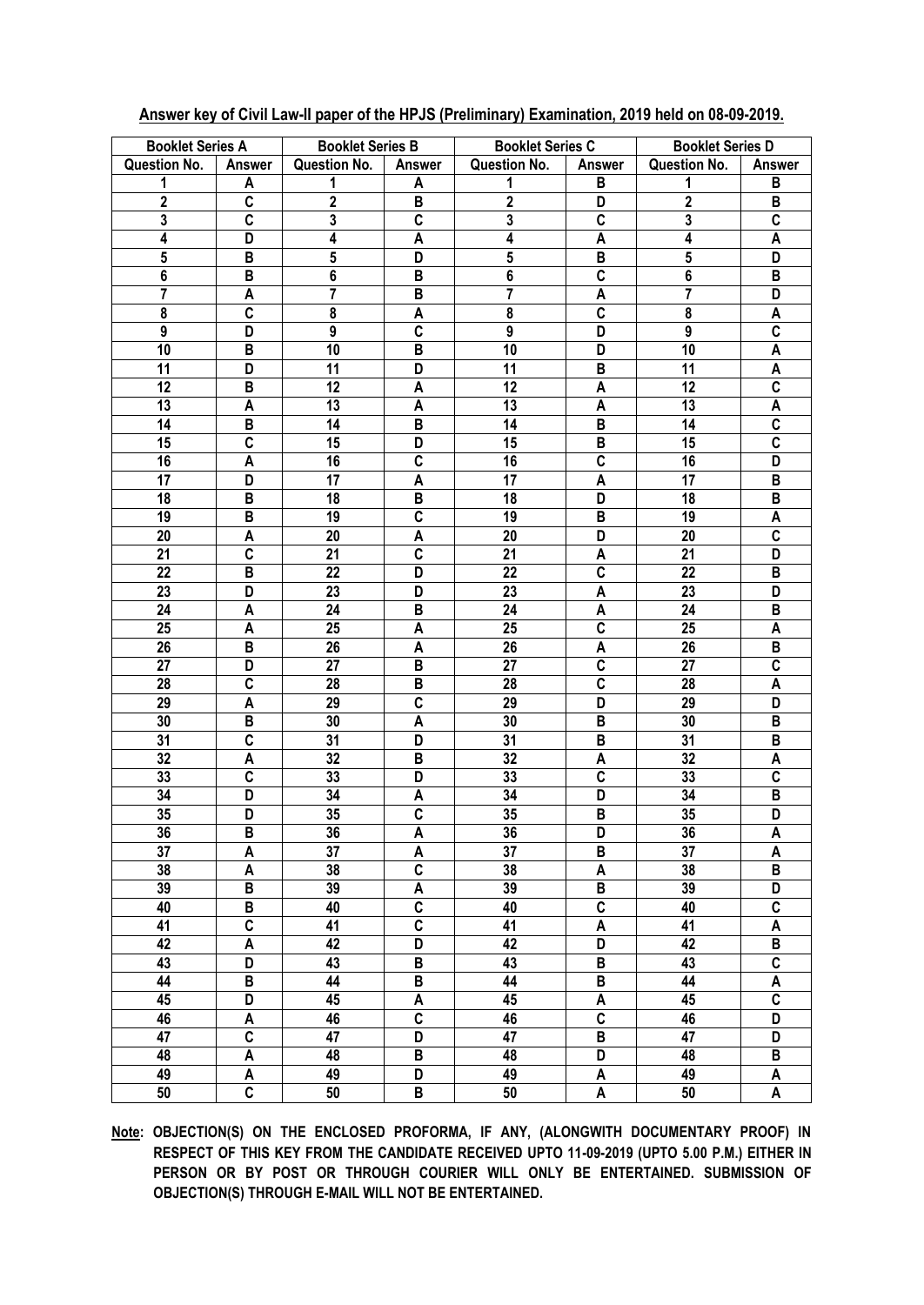| <b>Booklet Series A</b> |                         | <b>Booklet Series B</b> |                         | <b>Booklet Series C</b> |                           | <b>Booklet Series D</b> |                         |
|-------------------------|-------------------------|-------------------------|-------------------------|-------------------------|---------------------------|-------------------------|-------------------------|
| Question No.            | <b>Answer</b>           | <b>Question No.</b>     | Answer                  | Question No.            | <b>Answer</b>             | <b>Question No.</b>     | <b>Answer</b>           |
| 1                       | A                       | 1                       | A                       | 1                       | В                         | 1                       | B                       |
| $\overline{2}$          | C                       | $\mathbf{2}$            | B                       | $\mathbf{2}$            | D                         | $\mathbf{2}$            | B                       |
| $\mathbf 3$             | C                       | $\mathbf 3$             | C                       | $\mathbf 3$             | C                         | $\mathbf 3$             | C                       |
| 4                       | D                       | 4                       | A                       | 4                       | A                         | 4                       | A                       |
| ${\bf 5}$               | B                       | $5\phantom{.0}$         | D                       | 5                       | B                         | ${\bf 5}$               | D                       |
| $\bf 6$                 | B                       | $\bf 6$                 | B                       | 6                       | C                         | $\bf 6$                 | B                       |
| 7                       | A                       | 7                       | B                       | 7                       | A                         | 7                       | D                       |
| 8                       | C                       | 8                       | A                       | 8                       | C                         | 8                       | A                       |
| 9                       | D                       | $\boldsymbol{9}$        | C                       | $\boldsymbol{9}$        | D                         | 9                       | $\mathbf c$             |
| 10                      | B                       | 10                      | B                       | 10                      | D                         | 10                      | A                       |
| 11                      | D                       | 11                      | D                       | 11                      | B                         | 11                      | A                       |
| 12                      | B                       | 12                      | A                       | 12                      | A                         | 12                      | C                       |
| 13                      | A                       | 13                      | A                       | 13                      | A                         | 13                      | A                       |
| 14                      | B                       | 14                      | B                       | 14                      | B                         | 14                      | $\overline{\mathbf{c}}$ |
| 15                      | C                       | 15                      | D                       | 15                      | B                         | 15                      | $\mathbf c$             |
| 16                      | A                       | 16                      | C                       | 16                      | C                         | 16                      | D                       |
| 17                      | D                       | 17                      | A                       | 17                      | A                         | 17                      | B                       |
| 18                      | B                       | 18                      | B                       | 18                      | D                         | 18                      | $\, {\bf B}$            |
| 19                      | B                       | 19                      | $\overline{\mathsf{c}}$ | 19                      | B                         | 19                      | A                       |
| 20                      | A                       | 20                      | A                       | 20                      | D                         | 20                      | $\overline{\mathbf{c}}$ |
| 21                      | $\overline{\mathbf{c}}$ | 21                      | $\overline{\mathsf{c}}$ | 21                      | A                         | 21                      | D                       |
| 22                      | B                       | 22                      | D                       | 22                      | $\overline{\mathfrak{c}}$ | 22                      | B                       |
| 23                      | D                       | 23                      | D                       | 23                      | A                         | 23                      | D                       |
| 24                      | A                       | 24                      | B                       | 24                      | A                         | 24                      | B                       |
| 25                      | A                       | 25                      | A                       | 25                      | $\overline{\mathfrak{c}}$ | 25                      | A                       |
| 26                      | B                       | 26                      | A                       | 26                      | A                         | 26                      | B                       |
| 27                      | D                       | 27                      | B                       | 27                      | $\overline{\mathfrak{c}}$ | 27                      | $\overline{\mathbf{c}}$ |
| 28                      | $\overline{\mathbf{c}}$ | 28                      | B                       | 28                      | $\overline{\mathsf{c}}$   | 28                      | A                       |
| 29                      | A                       | 29                      | $\overline{\mathsf{c}}$ | 29                      | D                         | 29                      | D                       |
| 30                      | B                       | 30                      | A                       | 30                      | B                         | 30                      | B                       |
| 31                      | $\overline{\mathbf{c}}$ | 31                      | D                       | 31                      | B                         | 31                      | B                       |
| 32                      | A                       | 32                      | B                       | 32                      | A                         | 32                      | A                       |
| 33                      | C                       | 33                      | D                       | 33                      | C                         | 33                      | C                       |
| 34                      | D                       | 34                      | A                       | 34                      | D                         | 34                      | B                       |
| 35                      | D                       | 35                      | $\overline{\mathbf{c}}$ | 35                      | B                         | 35                      | D                       |
| 36                      | В                       | 36                      | A                       | 36                      | D                         | 36                      | A                       |
| 37                      | Α                       | 37                      | A                       | 37                      | В                         | 37                      | A                       |
| 38                      | A                       | 38                      | C                       | 38                      | A                         | 38                      | В                       |
| 39                      | B                       | 39                      | Α                       | 39                      | В                         | 39                      | D                       |
| 40                      | В                       | 40                      | $\overline{\mathbf{c}}$ | 40                      | $\overline{c}$            | 40                      | C                       |
| 41                      | C                       | 41                      | $\overline{\mathbf{c}}$ | 41                      | A                         | 41                      | A                       |
| 42                      | A                       | 42                      | D                       | 42                      | D                         | 42                      | B                       |
| 43                      | D                       | 43                      | B                       | 43                      | В                         | 43                      | $\overline{c}$          |
| 44                      | B                       | 44                      | В                       | 44                      | B                         | 44                      | A                       |
| 45                      | D                       | 45                      | A                       | 45                      | A                         | 45                      | $\overline{c}$          |
| 46                      | A                       | 46                      | $\overline{\mathbf{c}}$ | 46                      | $\overline{c}$            | 46                      | D                       |
| 47                      | C                       | 47                      | D                       | 47                      | В                         | 47                      | D                       |
| 48                      | A                       | 48                      | В                       | 48                      | D                         | 48                      | B                       |
| 49                      | A                       | 49                      | D                       | 49                      | A                         | 49                      | A                       |
| 50                      | $\overline{\mathsf{c}}$ | $50\,$                  | B                       | $50\,$                  | A                         | 50                      | A                       |
|                         |                         |                         |                         |                         |                           |                         |                         |

## **Answer key of Civil Law-II paper of the HPJS (Preliminary) Examination, 2019 held on 08-09-2019.**

**Note: OBJECTION(S) ON THE ENCLOSED PROFORMA, IF ANY, (ALONGWITH DOCUMENTARY PROOF) IN RESPECT OF THIS KEY FROM THE CANDIDATE RECEIVED UPTO 11-09-2019 (UPTO 5.00 P.M.) EITHER IN PERSON OR BY POST OR THROUGH COURIER WILL ONLY BE ENTERTAINED. SUBMISSION OF OBJECTION(S) THROUGH E-MAIL WILL NOT BE ENTERTAINED.**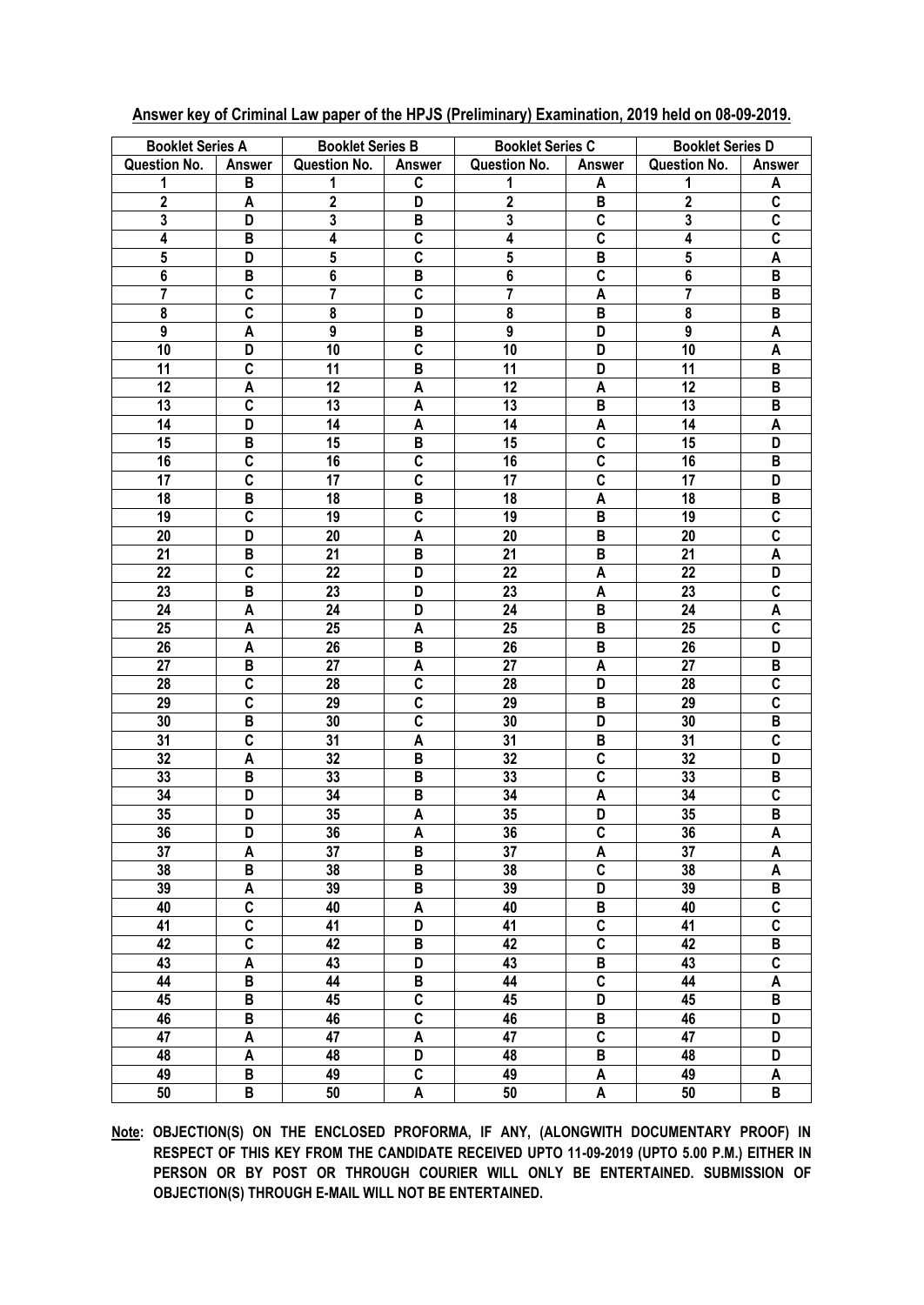| <b>Booklet Series A</b> |                         | <b>Booklet Series B</b> |                         | <b>Booklet Series C</b> |                         | <b>Booklet Series D</b> |                         |
|-------------------------|-------------------------|-------------------------|-------------------------|-------------------------|-------------------------|-------------------------|-------------------------|
| <b>Question No.</b>     | <b>Answer</b>           | <b>Question No.</b>     | Answer                  | Question No.            | <b>Answer</b>           | <b>Question No.</b>     | <b>Answer</b>           |
| 1                       | B                       | 1                       | C                       | 1                       | A                       | 1                       | A                       |
| $\overline{2}$          | A                       | $\mathbf{2}$            | D                       | $\boldsymbol{2}$        | B                       | $\mathbf{2}$            | C                       |
| $\mathbf 3$             | D                       | $\mathbf 3$             | B                       | $\mathbf 3$             | C                       | $\mathbf 3$             | C                       |
| 4                       | B                       | 4                       | C                       | 4                       | C                       | 4                       | C                       |
| ${\bf 5}$               | D                       | $5\phantom{.0}$         | C                       | 5                       | B                       | ${\bf 5}$               | A                       |
| $\bf 6$                 | B                       | $\bf 6$                 | B                       | 6                       | C                       | $\bf 6$                 | B                       |
| 7                       | C                       | 7                       | C                       | 7                       | A                       | 7                       | B                       |
| 8                       | C                       | $\bf 8$                 | D                       | 8                       | B                       | 8                       | B                       |
| 9                       | A                       | $\boldsymbol{9}$        | B                       | $\boldsymbol{9}$        | D                       | 9                       | A                       |
| 10                      | D                       | 10                      | C                       | 10                      | D                       | 10                      | A                       |
| 11                      | C                       | 11                      | B                       | 11                      | D                       | 11                      | B                       |
| 12                      | A                       | 12                      | A                       | 12                      | A                       | 12                      | B                       |
| 13                      | C                       | 13                      | A                       | 13                      | B                       | 13                      | B                       |
| 14                      | D                       | 14                      | A                       | 14                      | A                       | 14                      | A                       |
| 15                      | B                       | 15                      | B                       | 15                      | C                       | 15                      | D                       |
| 16                      | C                       | 16                      | C                       | 16                      | C                       | 16                      | B                       |
| 17                      | C                       | 17                      | $\overline{\mathbf{c}}$ | 17                      | C                       | 17                      | D                       |
| 18                      | $\, {\bf B}$            | 18                      | B                       | 18                      | A                       | 18                      | B                       |
| 19                      | $\overline{\mathsf{c}}$ | 19                      | $\overline{\mathsf{c}}$ | 19                      | B                       | 19                      | $\overline{\mathbf{c}}$ |
| 20                      | D                       | 20                      | A                       | 20                      | B                       | 20                      | $\overline{\mathbf{c}}$ |
| 21                      | B                       | 21                      | B                       | 21                      | B                       | 21                      | A                       |
| 22                      | $\overline{\mathbf{c}}$ | 22                      | D                       | 22                      | A                       | 22                      | D                       |
| 23                      | B                       | 23                      | D                       | 23                      | A                       | 23                      | $\mathbf c$             |
| 24                      | A                       | 24                      | D                       | 24                      | B                       | 24                      | A                       |
| 25                      | A                       | 25                      | A                       | 25                      | B                       | 25                      | $\overline{\mathbf{c}}$ |
| 26                      | A                       | 26                      | B                       | 26                      | B                       | 26                      | D                       |
| 27                      | B                       | 27                      | A                       | 27                      | A                       | 27                      | B                       |
| 28                      | $\overline{\mathbf{c}}$ | 28                      | $\overline{\mathsf{c}}$ | 28                      | D                       | 28                      | $\overline{\mathbf{c}}$ |
| 29                      | $\overline{\mathbf{c}}$ | 29                      | $\overline{\mathsf{c}}$ | 29                      | B                       | 29                      | $\overline{\mathsf{c}}$ |
| 30                      | B                       | 30                      | $\overline{\mathsf{c}}$ | 30                      | D                       | 30                      | B                       |
| 31                      | $\overline{\mathbf{c}}$ | 31                      | A                       | 31                      | B                       | 31                      | $\overline{\mathbf{c}}$ |
| 32                      | A                       | 32                      | B                       | 32                      | C                       | 32                      | D                       |
| 33                      | В                       | 33                      | B                       | 33                      | $\overline{\mathbf{c}}$ | 33                      | B                       |
| 34                      | D                       | 34                      | B                       | 34                      | A                       | 34                      | C                       |
| 35                      | D                       | 35                      | Α                       | 35                      | D                       | 35                      | B                       |
| 36                      | D                       | 36                      | A                       | 36                      | C                       | 36                      | A                       |
| 37                      | A                       | 37                      | B                       | 37                      | A                       | 37                      | A                       |
| 38                      | B                       | 38                      | В                       | 38                      | $\overline{\mathbf{c}}$ | 38                      | A                       |
| 39                      | A                       | 39                      | В                       | 39                      | D                       | 39                      | B                       |
| 40                      | C                       | 40                      | A                       | 40                      | В                       | 40                      | C                       |
| 41                      | C                       | 41                      | D                       | 41                      | $\overline{c}$          | 41                      | $\overline{c}$          |
| 42                      | $\overline{c}$          | 42                      | В                       | 42                      | $\overline{c}$          | 42                      | В                       |
| 43                      | A                       | 43                      | D                       | 43                      | В                       | 43                      | $\overline{c}$          |
| 44                      | B                       | 44                      | B                       | 44                      | $\overline{c}$          | 44                      | A                       |
| 45                      | B                       | 45                      | C                       | 45                      | D                       | 45                      | B                       |
| 46                      | В                       | 46                      | $\overline{\mathbf{c}}$ | 46                      | B                       | 46                      | D                       |
| 47                      | A                       | 47                      | A                       | 47                      | C                       | 47                      | D                       |
| 48                      | A                       | 48                      | D                       | 48                      | B                       | 48                      | D                       |
| 49                      | B                       | 49                      | C                       | 49                      | A                       | 49                      | A                       |
| 50                      | B                       | $50\,$                  | A                       | $50\,$                  | A                       | 50                      | B                       |

## Answer key of Criminal Law paper of the HPJS (Preliminary) Examination, 2019 held on 08-09-2019.

Note: OBJECTION(S) ON THE ENCLOSED PROFORMA, IF ANY, (ALONGWITH DOCUMENTARY PROOF) IN RESPECT OF THIS KEY FROM THE CANDIDATE RECEIVED UPTO 11-09-2019 (UPTO 5.00 P.M.) EITHER IN PERSON OR BY POST OR THROUGH COURIER WILL ONLY BE ENTERTAINED. SUBMISSION OF OBJECTION(S) THROUGH E-MAIL WILL NOT BE ENTERTAINED.